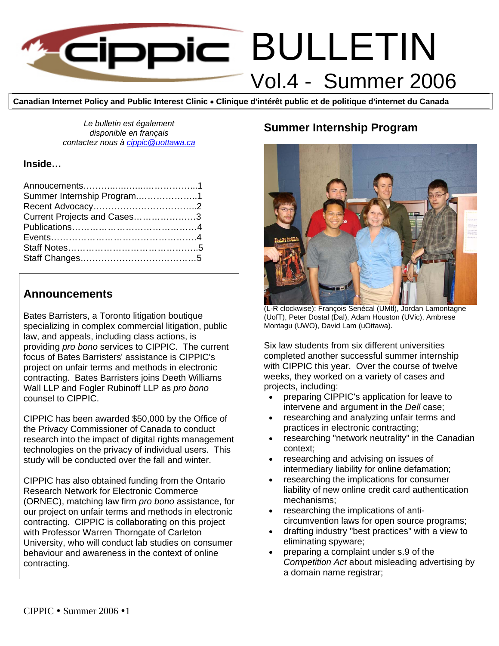

**Canadian Internet Policy and Public Interest Clinic** • **Clinique d'intérêt public et de politique d'internet du Canada**

*Le bulletin est également disponible en français contactez nous à [cippic@uottawa.ca](mailto:cippic@uottawa.ca)*

#### **Inside…**

| Summer Internship Program1  |  |
|-----------------------------|--|
|                             |  |
| Current Projects and Cases3 |  |
|                             |  |
|                             |  |
|                             |  |
|                             |  |

#### **Announcements**

Bates Barristers, a Toronto litigation boutique specializing in complex commercial litigation, public law, and appeals, including class actions, is providing *pro bono* services to CIPPIC. The current focus of Bates Barristers' assistance is CIPPIC's project on unfair terms and methods in electronic contracting. Bates Barristers joins Deeth Williams Wall LLP and Fogler Rubinoff LLP as *pro bono* counsel to CIPPIC.

CIPPIC has been awarded \$50,000 by the Office of the Privacy Commissioner of Canada to conduct research into the impact of digital rights management technologies on the privacy of individual users. This study will be conducted over the fall and winter.

CIPPIC has also obtained funding from the Ontario Research Network for Electronic Commerce (ORNEC), matching law firm *pro bono* assistance, for our project on unfair terms and methods in electronic contracting. CIPPIC is collaborating on this project with Professor Warren Thorngate of Carleton University, who will conduct lab studies on consumer behaviour and awareness in the context of online contracting.

## **Summer Internship Program**



(L-R clockwise): François Senécal (UMtl), Jordan Lamontagne (UofT), Peter Dostal (Dal), Adam Houston (UVic), Ambrese Montagu (UWO), David Lam (uOttawa).

Six law students from six different universities completed another successful summer internship with CIPPIC this year. Over the course of twelve weeks, they worked on a variety of cases and projects, including:

- preparing CIPPIC's application for leave to intervene and argument in the *Dell* case;
- researching and analyzing unfair terms and practices in electronic contracting;
- researching "network neutrality" in the Canadian context;
- researching and advising on issues of intermediary liability for online defamation;
- researching the implications for consumer liability of new online credit card authentication mechanisms;
- researching the implications of anticircumvention laws for open source programs;
- drafting industry "best practices" with a view to eliminating spyware;
- preparing a complaint under s.9 of the *Competition Act* about misleading advertising by a domain name registrar;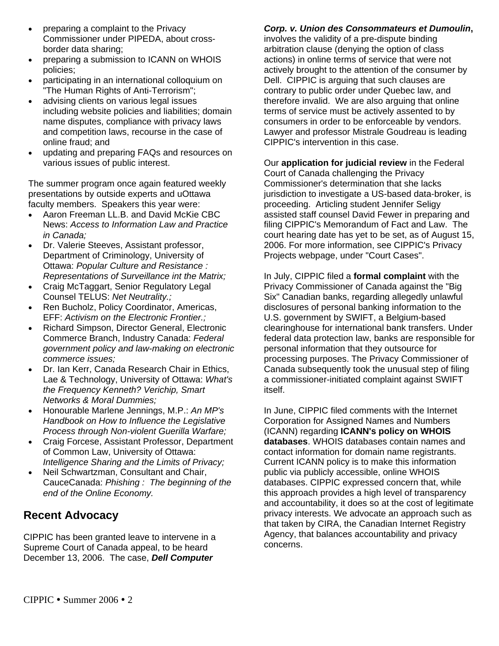- preparing a complaint to the Privacy Commissioner under PIPEDA, about crossborder data sharing;
- preparing a submission to ICANN on WHOIS policies;
- participating in an international colloquium on "The Human Rights of Anti-Terrorism";
- advising clients on various legal issues including website policies and liabilities; domain name disputes, compliance with privacy laws and competition laws, recourse in the case of online fraud; and
- updating and preparing FAQs and resources on various issues of public interest.

The summer program once again featured weekly presentations by outside experts and uOttawa faculty members. Speakers this year were:

- Aaron Freeman LL.B. and David McKie CBC News: *Access to Information Law and Practice in Canada;*
- Dr. Valerie Steeves, Assistant professor, Department of Criminology, University of Ottawa: *Popular Culture and Resistance : Representations of Surveillance int the Matrix;*
- Craig McTaggart, Senior Regulatory Legal Counsel TELUS: *Net Neutrality.;*
- Ren Bucholz, Policy Coordinator, Americas, EFF: *Activism on the Electronic Frontier.;*
- Richard Simpson, Director General, Electronic Commerce Branch, Industry Canada: *Federal government policy and law-making on electronic commerce issues;*
- Dr. Ian Kerr, Canada Research Chair in Ethics, Lae & Technology, University of Ottawa: *What's the Frequency Kenneth? Verichip, Smart Networks & Moral Dummies;*
- Honourable Marlene Jennings, M.P.: *An MP's Handbook on How to Influence the Legislative Process through Non-violent Guerilla Warfare;*
- Craig Forcese, Assistant Professor, Department of Common Law, University of Ottawa: *Intelligence Sharing and the Limits of Privacy;*
- Neil Schwartzman, Consultant and Chair, CauceCanada: *Phishing : The beginning of the end of the Online Economy.*

# **Recent Advocacy**

CIPPIC has been granted leave to intervene in a Supreme Court of Canada appeal, to be heard December 13, 2006. The case, *Dell Computer* 

### *Corp. v. Union des Consommateurs et Dumoulin***,**

involves the validity of a pre-dispute binding arbitration clause (denying the option of class actions) in online terms of service that were not actively brought to the attention of the consumer by Dell. CIPPIC is arguing that such clauses are contrary to public order under Quebec law, and therefore invalid. We are also arguing that online terms of service must be actively assented to by consumers in order to be enforceable by vendors. Lawyer and professor Mistrale Goudreau is leading CIPPIC's intervention in this case.

Our **application for judicial review** in the Federal Court of Canada challenging the Privacy Commissioner's determination that she lacks jurisdiction to investigate a US-based data-broker, is proceeding. Articling student Jennifer Seligy assisted staff counsel David Fewer in preparing and filing CIPPIC's Memorandum of Fact and Law. The court hearing date has yet to be set, as of August 15, 2006. For more information, see CIPPIC's Privacy Projects webpage, under "Court Cases".

In July, CIPPIC filed a **formal complaint** with the Privacy Commissioner of Canada against the "Big Six" Canadian banks, regarding allegedly unlawful disclosures of personal banking information to the U.S. government by SWIFT, a Belgium-based clearinghouse for international bank transfers. Under federal data protection law, banks are responsible for personal information that they outsource for processing purposes. The Privacy Commissioner of Canada subsequently took the unusual step of filing a commissioner-initiated complaint against SWIFT itself.

In June, CIPPIC filed comments with the Internet Corporation for Assigned Names and Numbers (ICANN) regarding **ICANN's policy on WHOIS databases**. WHOIS databases contain names and contact information for domain name registrants. Current ICANN policy is to make this information public via publicly accessible, online WHOIS databases. CIPPIC expressed concern that, while this approach provides a high level of transparency and accountability, it does so at the cost of legitimate privacy interests. We advocate an approach such as that taken by CIRA, the Canadian Internet Registry Agency, that balances accountability and privacy concerns.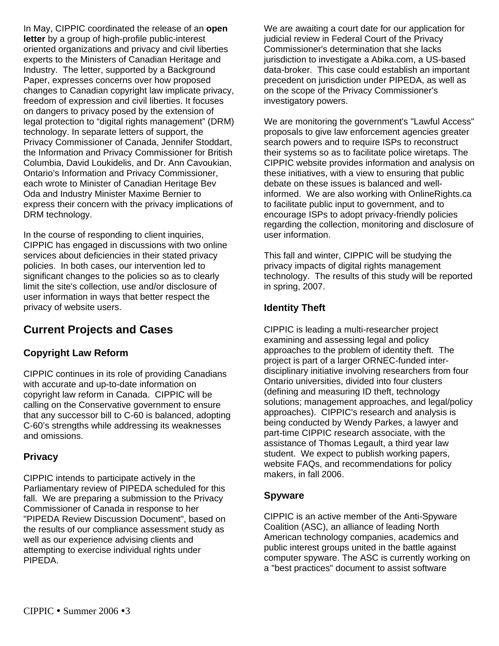In May, CIPPIC coordinated the release of an **open letter** by a group of high-profile public-interest oriented organizations and privacy and civil liberties experts to the Ministers of Canadian Heritage and Industry. The letter, supported by a Background Paper, expresses concerns over how proposed changes to Canadian copyright law implicate privacy, freedom of expression and civil liberties. It focuses on dangers to privacy posed by the extension of legal protection to "digital rights management" (DRM) technology. In separate letters of support, the Privacy Commissioner of Canada, Jennifer Stoddart, the Information and Privacy Commissioner for British Columbia, David Loukidelis, and Dr. Ann Cavoukian, Ontario's Information and Privacy Commissioner, each wrote to Minister of Canadian Heritage Bev Oda and Industry Minister Maxime Bernier to express their concern with the privacy implications of DRM technology.

In the course of responding to client inquiries, CIPPIC has engaged in discussions with two online services about deficiencies in their stated privacy policies. In both cases, our intervention led to significant changes to the policies so as to clearly limit the site's collection, use and/or disclosure of user information in ways that better respect the privacy of website users.

# **Current Projects and Cases**

## **Copyright Law Reform**

CIPPIC continues in its role of providing Canadians with accurate and up-to-date information on copyright law reform in Canada. CIPPIC will be calling on the Conservative government to ensure that any successor bill to C-60 is balanced, adopting C-60's strengths while addressing its weaknesses and omissions.

#### **Privacy**

CIPPIC intends to participate actively in the Parliamentary review of PIPEDA scheduled for this fall. We are preparing a submission to the Privacy Commissioner of Canada in response to her "PIPEDA Review Discussion Document", based on the results of our compliance assessment study as well as our experience advising clients and attempting to exercise individual rights under PIPEDA.

We are awaiting a court date for our application for judicial review in Federal Court of the Privacy Commissioner's determination that she lacks jurisdiction to investigate a Abika.com, a US-based data-broker. This case could establish an important precedent on jurisdiction under PIPEDA, as well as on the scope of the Privacy Commissioner's investigatory powers.

We are monitoring the government's "Lawful Access" proposals to give law enforcement agencies greater search powers and to require ISPs to reconstruct their systems so as to facilitate police wiretaps. The CIPPIC website provides information and analysis on these initiatives, with a view to ensuring that public debate on these issues is balanced and wellinformed. We are also working with OnlineRights.ca to facilitate public input to government, and to encourage ISPs to adopt privacy-friendly policies regarding the collection, monitoring and disclosure of user information.

This fall and winter, CIPPIC will be studying the privacy impacts of digital rights management technology. The results of this study will be reported in spring, 2007.

#### **Identity Theft**

CIPPIC is leading a multi-researcher project examining and assessing legal and policy approaches to the problem of identity theft. The project is part of a larger ORNEC-funded interdisciplinary initiative involving researchers from four Ontario universities, divided into four clusters (defining and measuring ID theft, technology solutions; management approaches, and legal/policy approaches). CIPPIC's research and analysis is being conducted by Wendy Parkes, a lawyer and part-time CIPPIC research associate, with the assistance of Thomas Legault, a third year law student. We expect to publish working papers, website FAQs, and recommendations for policy makers, in fall 2006.

#### **Spyware**

CIPPIC is an active member of the Anti-Spyware Coalition (ASC), an alliance of leading North American technology companies, academics and public interest groups united in the battle against computer spyware. The ASC is currently working on a "best practices" document to assist software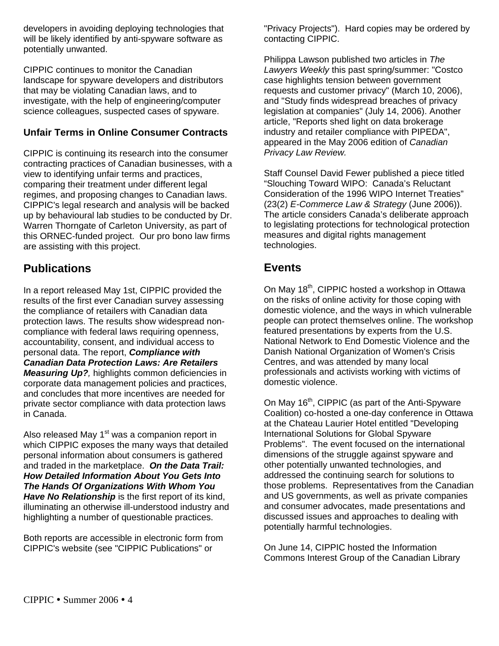developers in avoiding deploying technologies that will be likely identified by anti-spyware software as potentially unwanted.

CIPPIC continues to monitor the Canadian landscape for spyware developers and distributors that may be violating Canadian laws, and to investigate, with the help of engineering/computer science colleagues, suspected cases of spyware.

#### **Unfair Terms in Online Consumer Contracts**

CIPPIC is continuing its research into the consumer contracting practices of Canadian businesses, with a view to identifying unfair terms and practices, comparing their treatment under different legal regimes, and proposing changes to Canadian laws. CIPPIC's legal research and analysis will be backed up by behavioural lab studies to be conducted by Dr. Warren Thorngate of Carleton University, as part of this ORNEC-funded project. Our pro bono law firms are assisting with this project.

# **Publications**

In a report released May 1st, CIPPIC provided the results of the first ever Canadian survey assessing the compliance of retailers with Canadian data protection laws. The results show widespread noncompliance with federal laws requiring openness, accountability, consent, and individual access to personal data. The report, *Compliance with Canadian Data Protection Laws: Are Retailers Measuring Up?,* highlights common deficiencies in corporate data management policies and practices, and concludes that more incentives are needed for private sector compliance with data protection laws in Canada.

Also released May 1<sup>st</sup> was a companion report in which CIPPIC exposes the many ways that detailed personal information about consumers is gathered and traded in the marketplace. *On the Data Trail: How Detailed Information About You Gets Into The Hands Of Organizations With Whom You Have No Relationship* is the first report of its kind, illuminating an otherwise ill-understood industry and highlighting a number of questionable practices.

Both reports are accessible in electronic form from CIPPIC's website (see "CIPPIC Publications" or

"Privacy Projects"). Hard copies may be ordered by contacting CIPPIC.

Philippa Lawson published two articles in *The Lawyers Weekly* this past spring/summer: "Costco case highlights tension between government requests and customer privacy" (March 10, 2006), and "Study finds widespread breaches of privacy legislation at companies" (July 14, 2006). Another article, "Reports shed light on data brokerage industry and retailer compliance with PIPEDA", appeared in the May 2006 edition of *Canadian Privacy Law Review.* 

Staff Counsel David Fewer published a piece titled "Slouching Toward WIPO: Canada's Reluctant Consideration of the 1996 WIPO Internet Treaties" (23(2) *E-Commerce Law & Strategy* (June 2006)). The article considers Canada's deliberate approach to legislating protections for technological protection measures and digital rights management technologies.

## **Events**

On May 18<sup>th</sup>, CIPPIC hosted a workshop in Ottawa on the risks of online activity for those coping with domestic violence, and the ways in which vulnerable people can protect themselves online. The workshop featured presentations by experts from the U.S. National Network to End Domestic Violence and the Danish National Organization of Women's Crisis Centres, and was attended by many local professionals and activists working with victims of domestic violence.

On May 16<sup>th</sup>, CIPPIC (as part of the Anti-Spyware Coalition) co-hosted a one-day conference in Ottawa at the Chateau Laurier Hotel entitled "Developing International Solutions for Global Spyware Problems". The event focused on the international dimensions of the struggle against spyware and other potentially unwanted technologies, and addressed the continuing search for solutions to those problems. Representatives from the Canadian and US governments, as well as private companies and consumer advocates, made presentations and discussed issues and approaches to dealing with potentially harmful technologies.

On June 14, CIPPIC hosted the Information Commons Interest Group of the Canadian Library